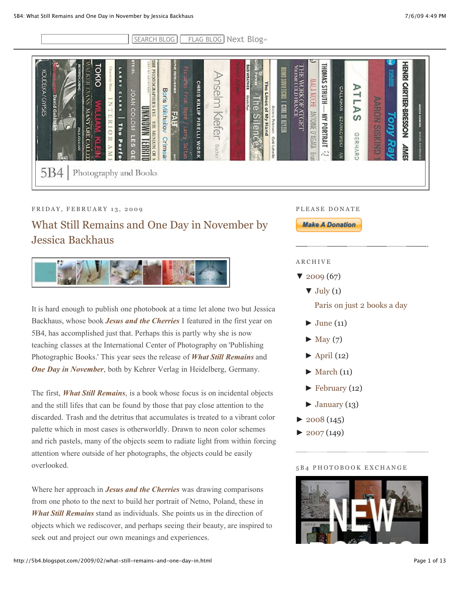| H<br><b>STEIDL</b><br><b>TOKIO</b><br>PTC<br><b>TARR</b><br><b>PHOTOKRAPHERS</b><br>GRAY/GRSES<br>Ê<br><b>CHRIS KILLIP PIRELLI WORK</b><br>nselm<br>≂<br>B<br>Boris<br>JOAN COLOM<br>а<br><b>David Goldblan</b><br>Е<br>ă<br><b>Mikhailov</b><br>NARONNA<br>п<br><b>UANI</b><br>Ξ<br><b>Kiefer</b><br><b>FAH</b><br>冥<br>HII<br>$\frac{1}{5}$<br><b>ARC</b><br><b>Faut</b><br>MUSEUM<br>$\frac{1}{2}$<br>count<br>Crimear<br>능<br>E<br>Porte<br>ieg ing<br>Ĕ<br>Büche<br>$\Omega$<br>$\Omega$<br>Ξ<br>Photography and Books | HENEN<br><b>THOMAS</b><br>g40<br><b>THE WORK OF ATGET</b><br>Veltre i old france<br>MOSOVIETICOS I CARLO EL KEYZEN<br><b>WRATHER</b><br><b>MALA</b><br>CARTIER-BRESSON<br><b>The</b><br><b>HLNNLS</b><br>₽<br>CALLAHAN<br>Lines of<br><b>MOHE</b><br>-<br><b>MORANA</b><br>٣<br>$\vec{e}$<br>⊳<br><b>HOLS</b><br><b>JUIOTIVE</b><br>₹<br><b>My Hand</b><br>S<br><b>BZARKOWSKI</b><br>Ċ<br>PORTRAIT<br>Ē<br>lence<br><b>GNIVISIS</b><br>Q<br>GERHARD<br><b>VINSON</b><br>Caté Leterate<br>đ<br>07679101<br><b>AME</b><br>22<br>š<br>gin |
|-----------------------------------------------------------------------------------------------------------------------------------------------------------------------------------------------------------------------------------------------------------------------------------------------------------------------------------------------------------------------------------------------------------------------------------------------------------------------------------------------------------------------------|----------------------------------------------------------------------------------------------------------------------------------------------------------------------------------------------------------------------------------------------------------------------------------------------------------------------------------------------------------------------------------------------------------------------------------------------------------------------------------------------------------------------------------------|
|-----------------------------------------------------------------------------------------------------------------------------------------------------------------------------------------------------------------------------------------------------------------------------------------------------------------------------------------------------------------------------------------------------------------------------------------------------------------------------------------------------------------------------|----------------------------------------------------------------------------------------------------------------------------------------------------------------------------------------------------------------------------------------------------------------------------------------------------------------------------------------------------------------------------------------------------------------------------------------------------------------------------------------------------------------------------------------|

# FRIDAY, FEBRUARY 13, 2009

# [What Still Remains and One Day in November by](http://5b4.blogspot.com/2009/02/what-still-remains-and-one-day-in.html) Jessica Backhaus



It is hard enough to publish one photobook at a time let alone two but Jessica Backhaus, whose book *[Jesus and the Cherries](http://www.artbooksheidelberg.de/html/detail/en/jessica-backhaus-978-3-936636-63-5.html)* I featured in the first year on 5B4, has accomplished just that. Perhaps this is partly why she is now teaching classes at the International Center of Photography on 'Publishing Photographic Books.' This year sees the release of *[What Still Remains](http://www.artbooksheidelberg.de/html/detail/en/jessica-backhaus-978-3-86828-019-7.html)* and *[One Day in November](http://www.artbooksheidelberg.com/html/detail/en/jessica-backhaus-978-3-86828-022-7.html)*, both by Kehrer Verlag in Heidelberg, Germany.

The first, *[What Still Remains](http://www.artbooksheidelberg.de/html/detail/en/jessica-backhaus-978-3-86828-019-7.html)*, is a book whose focus is on incidental objects and the still lifes that can be found by those that pay close attention to the discarded. Trash and the detritus that accumulates is treated to a vibrant color palette which in most cases is otherworldly. Drawn to neon color schemes and rich pastels, many of the objects seem to radiate light from within forcing attention where outside of her photographs, the objects could be easily overlooked.

Where her approach in *[Jesus and the Cherries](http://www.artbooksheidelberg.de/html/detail/en/jessica-backhaus-978-3-936636-63-5.html)* was drawing comparisons from one photo to the next to build her portrait of Netno, Poland, these in *[What Still Remains](http://www.artbooksheidelberg.de/html/detail/en/jessica-backhaus-978-3-86828-019-7.html)* stand as individuals. She points us in the direction of objects which we rediscover, and perhaps seeing their beauty, are inspired to seek out and project our own meanings and experiences.

#### P L E A S E D O N A T E

**Make A Donation** 

#### ARCHIVE

- $\blacktriangledown$  [2009](http://5b4.blogspot.com/search?updated-min=2009-01-01T00%3A00%3A00-05%3A00&updated-max=2010-01-01T00%3A00%3A00-05%3A00&max-results=50) (67)
	- $\blacktriangledown$  [July](http://5b4.blogspot.com/2009_07_01_archive.html) (1)

[Paris on just 2 books a day](http://5b4.blogspot.com/2009/07/paris-on-just-2-books-day.html)

- $\blacktriangleright$  [June](http://5b4.blogspot.com/2009_06_01_archive.html) (11)
- $\blacktriangleright$  [May](http://5b4.blogspot.com/2009_05_01_archive.html) (7)
- $\blacktriangleright$  [April](http://5b4.blogspot.com/2009_04_01_archive.html) (12)
- $\blacktriangleright$  [March](http://5b4.blogspot.com/2009_03_01_archive.html) (11)
- $\blacktriangleright$  [February](http://5b4.blogspot.com/2009_02_01_archive.html) (12)
- $\blacktriangleright$  [January](http://5b4.blogspot.com/2009_01_01_archive.html) (13)
- $\triangleright$  [2008](http://5b4.blogspot.com/search?updated-min=2008-01-01T00%3A00%3A00-05%3A00&updated-max=2009-01-01T00%3A00%3A00-05%3A00&max-results=50) (145)
- $\blacktriangleright$  [2007](http://5b4.blogspot.com/search?updated-min=2007-01-01T00%3A00%3A00-05%3A00&updated-max=2008-01-01T00%3A00%3A00-05%3A00&max-results=50) (149)

## 5 B 4 P H O T O B O O K E X C H A N G E

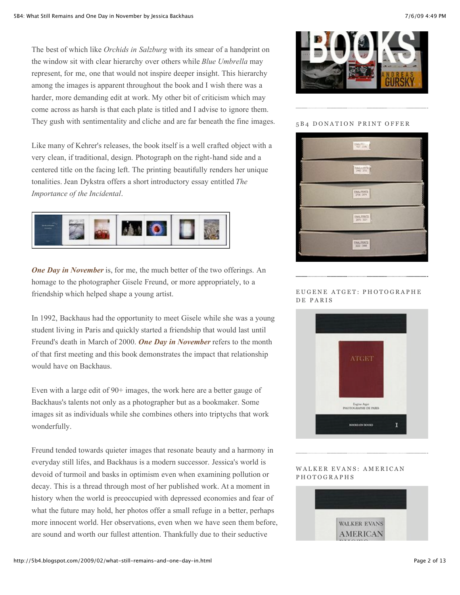The best of which like *Orchids in Salzburg* with its smear of a handprint on the window sit with clear hierarchy over others while *Blue Umbrella* may represent, for me, one that would not inspire deeper insight. This hierarchy among the images is apparent throughout the book and I wish there was a harder, more demanding edit at work. My other bit of criticism which may come across as harsh is that each plate is titled and I advise to ignore them. They gush with sentimentality and cliche and are far beneath the fine images.

Like many of Kehrer's releases, the book itself is a well crafted object with a very clean, if traditional, design. Photograph on the right-hand side and a centered title on the facing left. The printing beautifully renders her unique tonalities. Jean Dykstra offers a short introductory essay entitled *The Importance of the Incidental*.



*[One Day in November](http://www.artbooksheidelberg.com/html/detail/en/jessica-backhaus-978-3-86828-022-7.html)* is, for me, the much better of the two offerings. An homage to the photographer Gisele Freund, or more appropriately, to a friendship which helped shape a young artist.

In 1992, Backhaus had the opportunity to meet Gisele while she was a young student living in Paris and quickly started a friendship that would last until Freund's death in March of 2000. *[One Day in November](http://www.artbooksheidelberg.com/html/detail/en/jessica-backhaus-978-3-86828-022-7.html)* refers to the month of that first meeting and this book demonstrates the impact that relationship would have on Backhaus.

Even with a large edit of 90+ images, the work here are a better gauge of Backhaus's talents not only as a photographer but as a bookmaker. Some images sit as individuals while she combines others into triptychs that work wonderfully.

Freund tended towards quieter images that resonate beauty and a harmony in everyday still lifes, and Backhaus is a modern successor. Jessica's world is devoid of turmoil and basks in optimism even when examining pollution or decay. This is a thread through most of her published work. At a moment in history when the world is preoccupied with depressed economies and fear of what the future may hold, her photos offer a small refuge in a better, perhaps more innocent world. Her observations, even when we have seen them before, are sound and worth our fullest attention. Thankfully due to their seductive





#### 5 B 4 DONATION PRINT OFFER



#### EUGENE ATGET: PHOTOGRAPHE D E P A R I S



#### WALKER EVANS: AMERICAN PHOTOGRAPHS